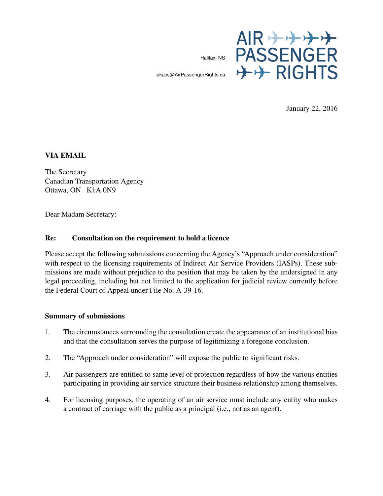Halifax, NS



lukacs@AirPassengerRights.ca

January 22, 2016

### VIA EMAIL

The Secretary Canadian Transportation Agency Ottawa, ON K1A 0N9

Dear Madam Secretary:

### Re: Consultation on the requirement to hold a licence

Please accept the following submissions concerning the Agency's "Approach under consideration" with respect to the licensing requirements of Indirect Air Service Providers (IASPs). These submissions are made without prejudice to the position that may be taken by the undersigned in any legal proceeding, including but not limited to the application for judicial review currently before the Federal Court of Appeal under File No. A-39-16.

#### Summary of submissions

- 1. The circumstances surrounding the consultation create the appearance of an institutional bias and that the consultation serves the purpose of legitimizing a foregone conclusion.
- 2. The "Approach under consideration" will expose the public to significant risks.
- 3. Air passengers are entitled to same level of protection regardless of how the various entities participating in providing air service structure their business relationship among themselves.
- 4. For licensing purposes, the operating of an air service must include any entity who makes a contract of carriage with the public as a principal (i.e., not as an agent).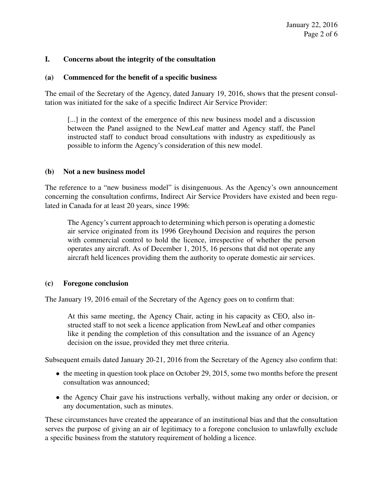### I. Concerns about the integrity of the consultation

### (a) Commenced for the benefit of a specific business

The email of the Secretary of the Agency, dated January 19, 2016, shows that the present consultation was initiated for the sake of a specific Indirect Air Service Provider:

[...] in the context of the emergence of this new business model and a discussion between the Panel assigned to the NewLeaf matter and Agency staff, the Panel instructed staff to conduct broad consultations with industry as expeditiously as possible to inform the Agency's consideration of this new model.

### (b) Not a new business model

The reference to a "new business model" is disingenuous. As the Agency's own announcement concerning the consultation confirms, Indirect Air Service Providers have existed and been regulated in Canada for at least 20 years, since 1996:

The Agency's current approach to determining which person is operating a domestic air service originated from its 1996 Greyhound Decision and requires the person with commercial control to hold the licence, irrespective of whether the person operates any aircraft. As of December 1, 2015, 16 persons that did not operate any aircraft held licences providing them the authority to operate domestic air services.

### (c) Foregone conclusion

The January 19, 2016 email of the Secretary of the Agency goes on to confirm that:

At this same meeting, the Agency Chair, acting in his capacity as CEO, also instructed staff to not seek a licence application from NewLeaf and other companies like it pending the completion of this consultation and the issuance of an Agency decision on the issue, provided they met three criteria.

Subsequent emails dated January 20-21, 2016 from the Secretary of the Agency also confirm that:

- the meeting in question took place on October 29, 2015, some two months before the present consultation was announced;
- the Agency Chair gave his instructions verbally, without making any order or decision, or any documentation, such as minutes.

These circumstances have created the appearance of an institutional bias and that the consultation serves the purpose of giving an air of legitimacy to a foregone conclusion to unlawfully exclude a specific business from the statutory requirement of holding a licence.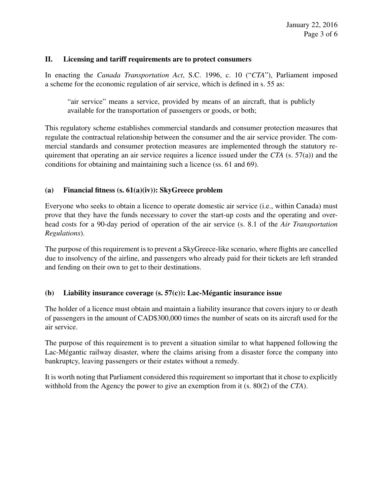### II. Licensing and tariff requirements are to protect consumers

In enacting the *Canada Transportation Act*, S.C. 1996, c. 10 ("*CTA*"), Parliament imposed a scheme for the economic regulation of air service, which is defined in s. 55 as:

"air service" means a service, provided by means of an aircraft, that is publicly available for the transportation of passengers or goods, or both;

This regulatory scheme establishes commercial standards and consumer protection measures that regulate the contractual relationship between the consumer and the air service provider. The commercial standards and consumer protection measures are implemented through the statutory requirement that operating an air service requires a licence issued under the *CTA* (s. 57(a)) and the conditions for obtaining and maintaining such a licence (ss. 61 and 69).

## (a) Financial fitness (s. 61(a)(iv)): SkyGreece problem

Everyone who seeks to obtain a licence to operate domestic air service (i.e., within Canada) must prove that they have the funds necessary to cover the start-up costs and the operating and overhead costs for a 90-day period of operation of the air service (s. 8.1 of the *Air Transportation Regulations*).

The purpose of this requirement is to prevent a SkyGreece-like scenario, where flights are cancelled due to insolvency of the airline, and passengers who already paid for their tickets are left stranded and fending on their own to get to their destinations.

# (b) Liability insurance coverage (s. 57(c)): Lac-Mégantic insurance issue

The holder of a licence must obtain and maintain a liability insurance that covers injury to or death of passengers in the amount of CAD\$300,000 times the number of seats on its aircraft used for the air service.

The purpose of this requirement is to prevent a situation similar to what happened following the Lac-Mégantic railway disaster, where the claims arising from a disaster force the company into bankruptcy, leaving passengers or their estates without a remedy.

It is worth noting that Parliament considered this requirement so important that it chose to explicitly withhold from the Agency the power to give an exemption from it (s. 80(2) of the *CTA*).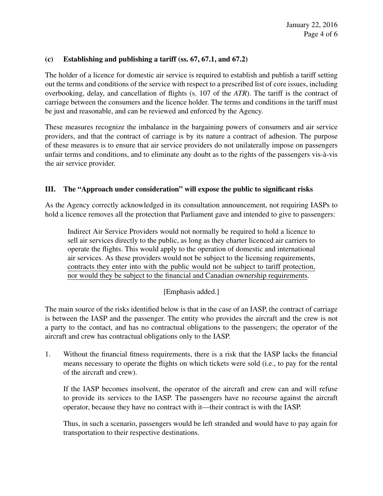## (c) Establishing and publishing a tariff (ss. 67, 67.1, and 67.2)

The holder of a licence for domestic air service is required to establish and publish a tariff setting out the terms and conditions of the service with respect to a prescribed list of core issues, including overbooking, delay, and cancellation of flights (s. 107 of the *ATR*). The tariff is the contract of carriage between the consumers and the licence holder. The terms and conditions in the tariff must be just and reasonable, and can be reviewed and enforced by the Agency.

These measures recognize the imbalance in the bargaining powers of consumers and air service providers, and that the contract of carriage is by its nature a contract of adhesion. The purpose of these measures is to ensure that air service providers do not unilaterally impose on passengers unfair terms and conditions, and to eliminate any doubt as to the rights of the passengers vis-à-vis the air service provider.

## III. The "Approach under consideration" will expose the public to significant risks

As the Agency correctly acknowledged in its consultation announcement, not requiring IASPs to hold a licence removes all the protection that Parliament gave and intended to give to passengers:

Indirect Air Service Providers would not normally be required to hold a licence to sell air services directly to the public, as long as they charter licenced air carriers to operate the flights. This would apply to the operation of domestic and international air services. As these providers would not be subject to the licensing requirements, contracts they enter into with the public would not be subject to tariff protection, nor would they be subject to the financial and Canadian ownership requirements.

# [Emphasis added.]

The main source of the risks identified below is that in the case of an IASP, the contract of carriage is between the IASP and the passenger. The entity who provides the aircraft and the crew is not a party to the contact, and has no contractual obligations to the passengers; the operator of the aircraft and crew has contractual obligations only to the IASP.

1. Without the financial fitness requirements, there is a risk that the IASP lacks the financial means necessary to operate the flights on which tickets were sold (i.e., to pay for the rental of the aircraft and crew).

If the IASP becomes insolvent, the operator of the aircraft and crew can and will refuse to provide its services to the IASP. The passengers have no recourse against the aircraft operator, because they have no contract with it—their contract is with the IASP.

Thus, in such a scenario, passengers would be left stranded and would have to pay again for transportation to their respective destinations.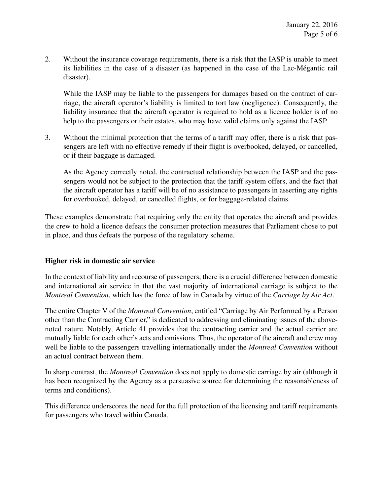2. Without the insurance coverage requirements, there is a risk that the IASP is unable to meet its liabilities in the case of a disaster (as happened in the case of the Lac-Mégantic rail disaster).

While the IASP may be liable to the passengers for damages based on the contract of carriage, the aircraft operator's liability is limited to tort law (negligence). Consequently, the liability insurance that the aircraft operator is required to hold as a licence holder is of no help to the passengers or their estates, who may have valid claims only against the IASP.

3. Without the minimal protection that the terms of a tariff may offer, there is a risk that passengers are left with no effective remedy if their flight is overbooked, delayed, or cancelled, or if their baggage is damaged.

As the Agency correctly noted, the contractual relationship between the IASP and the passengers would not be subject to the protection that the tariff system offers, and the fact that the aircraft operator has a tariff will be of no assistance to passengers in asserting any rights for overbooked, delayed, or cancelled flights, or for baggage-related claims.

These examples demonstrate that requiring only the entity that operates the aircraft and provides the crew to hold a licence defeats the consumer protection measures that Parliament chose to put in place, and thus defeats the purpose of the regulatory scheme.

## Higher risk in domestic air service

In the context of liability and recourse of passengers, there is a crucial difference between domestic and international air service in that the vast majority of international carriage is subject to the *Montreal Convention*, which has the force of law in Canada by virtue of the *Carriage by Air Act*.

The entire Chapter V of the *Montreal Convention*, entitled "Carriage by Air Performed by a Person other than the Contracting Carrier," is dedicated to addressing and eliminating issues of the abovenoted nature. Notably, Article 41 provides that the contracting carrier and the actual carrier are mutually liable for each other's acts and omissions. Thus, the operator of the aircraft and crew may well be liable to the passengers travelling internationally under the *Montreal Convention* without an actual contract between them.

In sharp contrast, the *Montreal Convention* does not apply to domestic carriage by air (although it has been recognized by the Agency as a persuasive source for determining the reasonableness of terms and conditions).

This difference underscores the need for the full protection of the licensing and tariff requirements for passengers who travel within Canada.